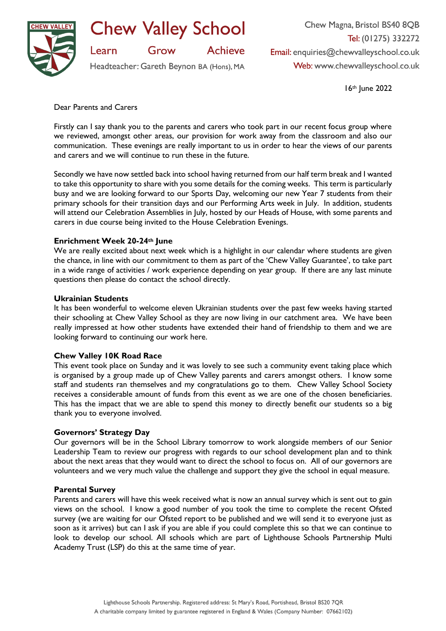

**Chew Valley School** 

**Achieve** Grow

Headteacher: Gareth Beynon BA (Hons), MA

Chew Magna, Bristol BS40 8QB Tel: (01275) 332272 Email: enquiries@chewvalleyschool.co.uk Web: www.chewvalleyschool.co.uk

16th June 2022

Dear Parents and Carers

Learn

Firstly can I say thank you to the parents and carers who took part in our recent focus group where we reviewed, amongst other areas, our provision for work away from the classroom and also our communication. These evenings are really important to us in order to hear the views of our parents and carers and we will continue to run these in the future.

Secondly we have now settled back into school having returned from our half term break and I wanted to take this opportunity to share with you some details for the coming weeks. This term is particularly busy and we are looking forward to our Sports Day, welcoming our new Year 7 students from their primary schools for their transition days and our Performing Arts week in July. In addition, students will attend our Celebration Assemblies in July, hosted by our Heads of House, with some parents and carers in due course being invited to the House Celebration Evenings.

# **Enrichment Week 20-24th June**

We are really excited about next week which is a highlight in our calendar where students are given the chance, in line with our commitment to them as part of the 'Chew Valley Guarantee', to take part in a wide range of activities / work experience depending on year group. If there are any last minute questions then please do contact the school directly.

# **Ukrainian Students**

It has been wonderful to welcome eleven Ukrainian students over the past few weeks having started their schooling at Chew Valley School as they are now living in our catchment area. We have been really impressed at how other students have extended their hand of friendship to them and we are looking forward to continuing our work here.

## **Chew Valley 10K Road Race**

This event took place on Sunday and it was lovely to see such a community event taking place which is organised by a group made up of Chew Valley parents and carers amongst others. I know some staff and students ran themselves and my congratulations go to them. Chew Valley School Society receives a considerable amount of funds from this event as we are one of the chosen beneficiaries. This has the impact that we are able to spend this money to directly benefit our students so a big thank you to everyone involved.

# **Governors' Strategy Day**

Our governors will be in the School Library tomorrow to work alongside members of our Senior Leadership Team to review our progress with regards to our school development plan and to think about the next areas that they would want to direct the school to focus on. All of our governors are volunteers and we very much value the challenge and support they give the school in equal measure.

## **Parental Survey**

Parents and carers will have this week received what is now an annual survey which is sent out to gain views on the school. I know a good number of you took the time to complete the recent Ofsted survey (we are waiting for our Ofsted report to be published and we will send it to everyone just as soon as it arrives) but can I ask if you are able if you could complete this so that we can continue to look to develop our school. All schools which are part of Lighthouse Schools Partnership Multi Academy Trust (LSP) do this at the same time of year.